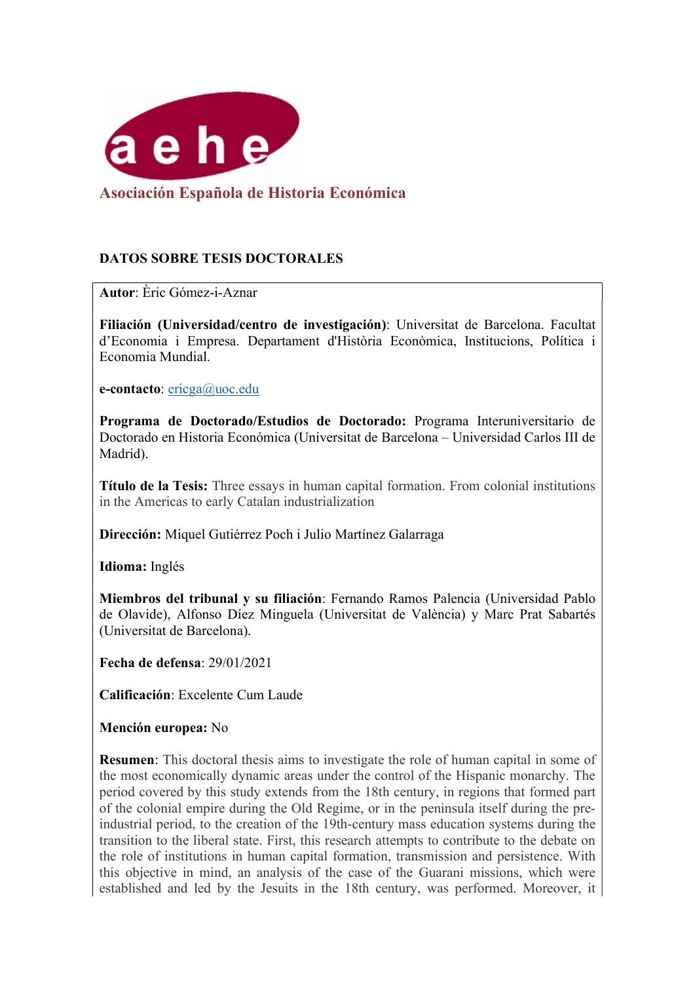

Asociación Española de Historia Económica

## DATOS SOBRE TESIS DOCTORALES

Autor: Èric Gómez-i-Aznar

Filiación (Universidad/centro de investigación): Universitat de Barcelona. Facultat d'Economia i Empresa. Departament d'Història Econòmica, Institucions, Política i Economia Mundial.

e-contacto: ericga@uoc.edu

Programa de Doctorado/Estudios de Doctorado: Programa Interuniversitario de Doctorado en Historia Económica (Universitat de Barcelona – Universidad Carlos III de Madrid).

Título de la Tesis: Three essays in human capital formation. From colonial institutions in the Americas to early Catalan industrialization

Dirección: Miquel Gutiérrez Poch i Julio Martínez Galarraga

Idioma: Inglés

Miembros del tribunal y su filiación: Fernando Ramos Palencia (Universidad Pablo de Olavide), Alfonso Díez Minguela (Universitat de València) y Marc Prat Sabartés (Universitat de Barcelona).

Fecha de defensa: 29/01/2021

Calificación: Excelente Cum Laude

Mención europea: No

Resumen: This doctoral thesis aims to investigate the role of human capital in some of the most economically dynamic areas under the control of the Hispanic monarchy. The period covered by this study extends from the 18th century, in regions that formed part of the colonial empire during the Old Regime, or in the peninsula itself during the preindustrial period, to the creation of the 19th-century mass education systems during the transition to the liberal state. First, this research attempts to contribute to the debate on the role of institutions in human capital formation, transmission and persistence. With this objective in mind, an analysis of the case of the Guarani missions, which were established and led by the Jesuits in the 18th century, was performed. Moreover, it